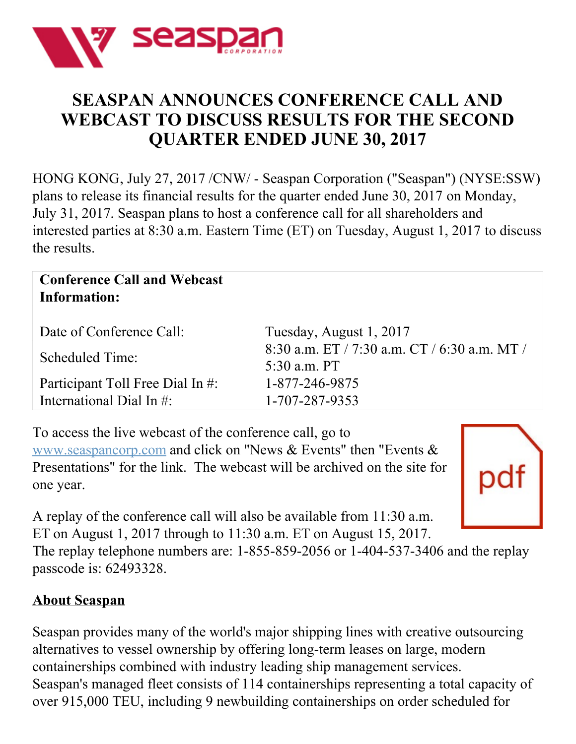

## **SEASPAN ANNOUNCES CONFERENCE CALL AND WEBCAST TO DISCUSS RESULTS FOR THE SECOND QUARTER ENDED JUNE 30, 2017**

HONG KONG, July 27, 2017 /CNW/ - Seaspan Corporation ("Seaspan") (NYSE:SSW) plans to release its financial results for the quarter ended June 30, 2017 on Monday, July 31, 2017. Seaspan plans to host a conference call for all shareholders and interested parties at 8:30 a.m. Eastern Time (ET) on Tuesday, August 1, 2017 to discuss the results.

## **Conference Call and Webcast Information:**

| Date of Conference Call:         | Tuesday, August 1, 2017                                      |
|----------------------------------|--------------------------------------------------------------|
| <b>Scheduled Time:</b>           | 8:30 a.m. ET / 7:30 a.m. CT / 6:30 a.m. MT /<br>5:30 a.m. PT |
| Participant Toll Free Dial In #: | 1-877-246-9875                                               |
| International Dial In $\#$ :     | 1-707-287-9353                                               |

To access the live webcast of the conference call, go to [www.seaspancorp.com](http://www.seaspancorp.com) and click on "News & Events" then "Events & Presentations" for the link. The webcast will be archived on the site for one year.



A replay of the conference call will also be available from 11:30 a.m. ET on August 1, 2017 through to 11:30 a.m. ET on August 15, 2017.

The replay telephone numbers are: 1-855-859-2056 or 1-404-537-3406 and the replay passcode is: 62493328.

## **About Seaspan**

Seaspan provides many of the world's major shipping lines with creative outsourcing alternatives to vessel ownership by offering long-term leases on large, modern containerships combined with industry leading ship management services. Seaspan's managed fleet consists of 114 containerships representing a total capacity of over 915,000 TEU, including 9 newbuilding containerships on order scheduled for